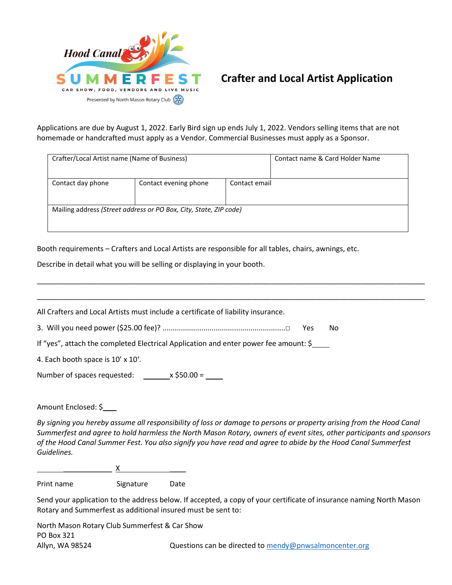

## **Crafter and Local Artist Application**

Applications are due by August 1, 2022. Early Bird sign up ends July 1, 2022. Vendors selling items that are not homemade or handcrafted must apply as a Vendor. Commercial Businesses must apply as a Sponsor.

| Crafter/Local Artist name (Name of Business) |                                                                   |               | Contact name & Card Holder Name |
|----------------------------------------------|-------------------------------------------------------------------|---------------|---------------------------------|
| Contact day phone                            | Contact evening phone                                             | Contact email |                                 |
|                                              | Mailing address (Street address or PO Box, City, State, ZIP code) |               |                                 |

Booth requirements – Crafters and Local Artists are responsible for all tables, chairs, awnings, etc.

Describe in detail what you will be selling or displaying in your booth.

| All Crafters and Local Artists must include a certificate of liability insurance.    |             |
|--------------------------------------------------------------------------------------|-------------|
|                                                                                      | No.<br>Yes. |
| If "yes", attach the completed Electrical Application and enter power fee amount: \$ |             |
| 4. Each booth space is 10' x 10'.                                                    |             |
| Number of spaces requested: $\frac{\ }{\ }$ x \$50.00 =                              |             |

\_\_\_\_\_\_\_\_\_\_\_\_\_\_\_\_\_\_\_\_\_\_\_\_\_\_\_\_\_\_\_\_\_\_\_\_\_\_\_\_\_\_\_\_\_\_\_\_\_\_\_\_\_\_\_\_\_\_\_\_\_\_\_\_\_\_\_\_\_\_\_\_\_\_\_\_\_\_\_\_\_\_\_\_\_\_\_\_\_\_\_\_\_\_\_\_

Amount Enclosed: \$

*By signing you hereby assume all responsibility of loss or damage to persons or property arising from the Hood Canal Summerfest and agree to hold harmless the North Mason Rotary, owners of event sites, other participants and sponsors of the Hood Canal Summer Fest. You also signify you have read and agree to abide by the Hood Canal Summerfest Guidelines.*

 $\underline{\mathsf{X}}$   $\underline{\mathsf{X}}$   $\underline{\mathsf{X}}$   $\underline{\mathsf{X}}$   $\underline{\mathsf{X}}$   $\underline{\mathsf{X}}$   $\underline{\mathsf{X}}$   $\underline{\mathsf{X}}$   $\underline{\mathsf{X}}$   $\underline{\mathsf{X}}$   $\underline{\mathsf{X}}$   $\underline{\mathsf{X}}$   $\underline{\mathsf{X}}$   $\underline{\mathsf{X}}$   $\underline{\mathsf{X}}$   $\underline{\mathsf{X}}$   $\underline{\mathsf{X}}$   $\underline{\mathsf{X}}$   $\underline{\$ 

Print name Signature Date

Send your application to the address below. If accepted, a copy of your certificate of insurance naming North Mason Rotary and Summerfest as additional insured must be sent to:

North Mason Rotary Club Summerfest & Car Show PO Box 321